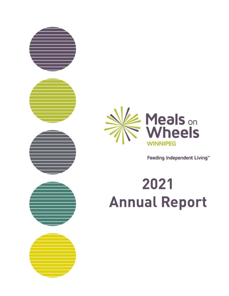



Feeding Independent Living"

# 2021 **Annual Report**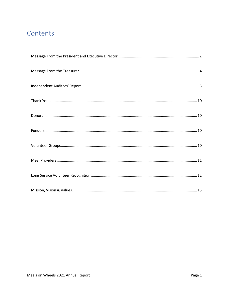## Contents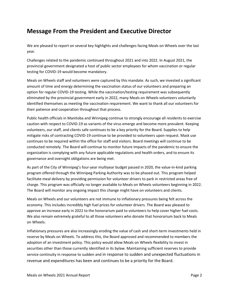## <span id="page-3-0"></span>**Message From the President and Executive Director**

We are pleased to report on several key highlights and challenges facing Meals on Wheels over the last year.

Challenges related to the pandemic continued throughout 2021 and into 2022. In August 2021, the provincial government designated a host of public sector employees for whom vaccination or regular testing for COVID-19 would become mandatory.

Meals on Wheels staff and volunteers were captured by this mandate. As such, we invested a significant amount of time and energy determining the vaccination status of our volunteers and preparing an option for regular COVID-19 testing. While the vaccination/testing requirement was subsequently eliminated by the provincial government early in 2022, many Meals on Wheels volunteers voluntarily identified themselves as meeting the vaccination requirement. We want to thank all our volunteers for their patience and cooperation throughout that process.

Public health officials in Manitoba and Winnipeg continue to strongly encourage all residents to exercise caution with respect to COVID-19 as variants of the virus emerge and become more prevalent. Keeping volunteers, our staff, and clients safe continues to be a key priority for the Board. Supplies to help mitigate risks of contracting COVID-19 continue to be provided to volunteers upon request. Mask use continues to be required within the office for staff and visitors. Board meetings will continue to be conducted remotely. The Board will continue to monitor future impacts of the pandemic to ensure the organization is complying with any future applicable regulations and health orders, and to ensure its governance and oversight obligations are being met.

As part of the City of Winnipeg's four-year multiyear budget passed in 2020, the value-in-kind parking program offered through the Winnipeg Parking Authority was to be phased out. This program helped facilitate meal delivery by providing permission for volunteer drivers to park in restricted areas free of charge. This program was officially no longer available to Meals on Wheels volunteers beginning in 2022. The Board will monitor any ongoing impact this change might have on volunteers and clients.

Meals on Wheels and our volunteers are not immune to inflationary pressures being felt across the economy. This includes incredibly high fuel prices for volunteer drivers. The Board was pleased to approve an increase early in 2022 to the honorarium paid to volunteers to help cover higher fuel costs. We also remain extremely grateful to all those volunteers who donate that honorarium back to Meals on Wheels.

Inflationary pressures are also increasingly eroding the value of cash and short-term investments held in reserve by Meals on Wheels. To address this, the Board approved and recommended to members the adoption of an investment policy. This policy would allow Meals on Wheels flexibility to invest in securities other than those currently identified in its bylaw. Maintaining sufficient reserves to provide service continuity in response to sudden and in response to sudden and unexpected fluctuations in revenue and expenditures has been and continues to be a priority for the Board.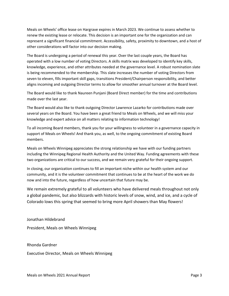Meals on Wheels' office lease on Hargrave expires in March 2023. We continue to assess whether to renew the existing lease or relocate. This decision is an important one for the organization and can represent a significant financial commitment. Accessibility, safety, proximity to downtown, and a host of other considerations will factor into our decision making.

The Board is undergoing a period of renewal this year. Over the last couple years, the Board has operated with a low number of voting Directors. A skills matrix was developed to identify key skills, knowledge, experience, and other attributes needed at the governance level. A robust nomination slate is being recommended to the membership. This slate increases the number of voting Directors from seven to eleven, fills important skill gaps, transitions President/Chairperson responsibility, and better aligns incoming and outgoing Director terms to allow for smoother annual turnover at the Board level.

The Board would like to thank Naureen Punjani (Board Direct member) for the time and contributions made over the last year.

The Board would also like to thank outgoing Director Lawrence Lazarko for contributions made over several years on the Board. You have been a great friend to Meals on Wheels, and we will miss your knowledge and expert advice on all matters relating to information technology!

To all incoming Board members, thank you for your willingness to volunteer in a governance capacity in support of Meals on Wheels! And thank you, as well, to the ongoing commitment of existing Board members.

Meals on Wheels Winnipeg appreciates the strong relationship we have with our funding partners including the Winnipeg Regional Health Authority and the United Way. Funding agreements with these two organizations are critical to our success, and we remain very grateful for their ongoing support.

In closing, our organization continues to fill an important niche within our health system and our community, and it is the volunteer commitment that continues to be at the heart of the work we do now and into the future, regardless of how uncertain that future may be.

We remain extremely grateful to all volunteers who have delivered meals throughout not only a global pandemic, but also blizzards with historic levels of snow, wind, and ice, and a cycle of Colorado lows this spring that seemed to bring more April showers than May flowers!

Jonathan Hildebrand President, Meals on Wheels Winnipeg

Rhonda Gardner

Executive Director, Meals on Wheels Winnipeg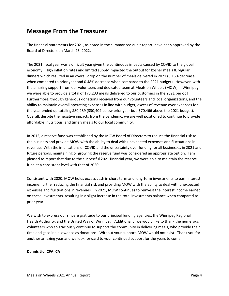### <span id="page-5-0"></span>**Message From the Treasurer**

The financial statements for 2021, as noted in the summarized audit report, have been approved by the Board of Directors on March 23, 2022.

The 2021 fiscal year was a difficult year given the continuous impacts caused by COVID to the global economy. High inflation rates and limited supply impacted the output for kosher meals & regular dinners which resulted in an overall drop on the number of meals delivered in 2021 (6.16% decrease when compared to prior year and 0.48% decrease when compared to the 2021 budget). However, with the amazing support from our volunteers and dedicated team at Meals on Wheels (MOW) in Winnipeg, we were able to provide a total of 173,233 meals delivered to our customers in the 2021 period! Furthermore, through generous donations received from our volunteers and local organizations, and the ability to maintain overall operating expenses in line with budget, excess of revenue over expenses for the year ended up totaling \$80,289 (\$30,409 below prior year but, \$70,466 above the 2021 budget). Overall, despite the negative impacts from the pandemic, we are well positioned to continue to provide affordable, nutritious, and timely meals to our local community.

In 2012, a reserve fund was established by the MOW Board of Directors to reduce the financial risk to the business and provide MOW with the ability to deal with unexpected expenses and fluctuations in revenue. With the implications of COVID and the uncertainty over funding for all businesses in 2021 and future periods, maintaining or growing the reserve fund was considered an appropriate option. I am pleased to report that due to the successful 2021 financial year, we were able to maintain the reserve fund at a consistent level with that of 2020.

Consistent with 2020, MOW holds excess cash in short-term and long-term investments to earn interest income, further reducing the financial risk and providing MOW with the ability to deal with unexpected expenses and fluctuations in revenues. In 2021, MOW continues to reinvest the interest income earned on these investments, resulting in a slight increase in the total investments balance when compared to prior year.

We wish to express our sincere gratitude to our principal funding agencies, the Winnipeg Regional Health Authority, and the United Way of Winnipeg. Additionally, we would like to thank the numerous volunteers who so graciously continue to support the community in delivering meals, who provide their time and gasoline allowance as donations. Without your support, MOW would not exist. Thank you for another amazing year and we look forward to your continued support for the years to come.

**Dennis Liu, CPA, CA**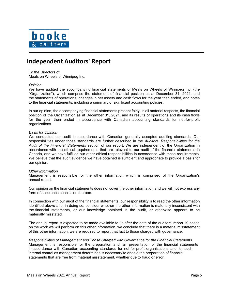

### <span id="page-6-0"></span>**Independent Auditors' Report**

#### To the Directors of

Meals on Wheels of Winnipeg Inc.

#### *Opinion*

We have audited the accompanying financial statements of Meals on Wheels of Winnipeg Inc. (the "Organization"), which comprise the statement of financial position as at December 31, 2021, and the statements of operations, changes in net assets and cash flows for the year then ended, and notes to the financial statements, including a summary of significant accounting policies.

In our opinion, the accompanying financial statements present fairly, in all material respects, the financial position of the Organization as at December 31, 2021, and its results of operations and its cash flows for the year then ended in accordance with Canadian accounting standards for not-for-profit organizations.

#### *Basis for Opinion*

We conducted our audit in accordance with Canadian generally accepted auditing standards. Our responsibilities under those standards are further described in the *Auditors' Responsibilities for the Audit of the Financial Statements* section of our report. We are independent of the Organization in accordance with the ethical requirements that are relevant to our audit of the financial statements in Canada, and we have fulfilled our other ethical responsibilities in accordance with these requirements. We believe that the audit evidence we have obtained is sufficient and appropriate to provide a basis for our opinion.

#### *Other Information*

Management is responsible for the other information which is comprised of the Organization's annual report.

Our opinion on the financial statements does not cover the other information and we will not express any form of assurance conclusion thereon.

In connection with our audit of the financial statements, our responsibility is to read the other information identified above and, in doing so, consider whether the other information is materially inconsistent with the financial statements, or our knowledge obtained in the audit, or otherwise appears to be materially misstated.

The annual report is expected to be made available to us after the date of the auditors' report. If, based on the work we will perform on this other information, we conclude that there is a material misstatement of this other information, we are required to report that fact to those charged with governance.

*Responsibilities of Management and Those Charged with Governance for the Financial Statements* Management is responsible for the preparation and fair presentation of the financial statements in accordance with Canadian accounting standards for not-for-profit organizations and for such internal control as management determines is necessary to enable the preparation of financial statements that are free from material misstatement, whether due to fraud or error.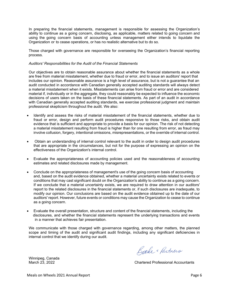In preparing the financial statements, management is responsible for assessing the Organization's ability to continue as a going concern, disclosing, as applicable, matters related to going concern and using the going concern basis of accounting unless management either intends to liquidate the Organization or to cease operations, or has no realistic alternative but to do so.

Those charged with governance are responsible for overseeing the Organization's financial reporting process.

#### *Auditors' Responsibilities for the Audit of the Financial Statements*

Our objectives are to obtain reasonable assurance about whether the financial statements as a whole are free from material misstatement, whether due to fraud or error, and to issue an auditors' report that includes our opinion. Reasonable assurance is a high level of assurance, but is not a guarantee that an audit conducted in accordance with Canadian generally accepted auditing standards will always detect a material misstatement when it exists. Misstatements can arise from fraud or error and are considered material if, individually or in the aggregate, they could reasonably be expected to influence the economic decisions of users taken on the basis of these financial statements. As part of an audit in accordance with Canadian generally accepted auditing standards, we exercise professional judgment and maintain professional skepticism throughout the audit. We also:

- Identify and assess the risks of material misstatement of the financial statements, whether due to fraud or error, design and perform audit procedures responsive to those risks, and obtain audit evidence that is sufficient and appropriate to provide a basis for our opinion. The risk of not detecting a material misstatement resulting from fraud is higher than for one resulting from error, as fraud may involve collusion, forgery, intentional omissions, misrepresentations, or the override of internal control.
- Obtain an understanding of internal control relevant to the audit in order to design audit procedures that are appropriate in the circumstances, but not for the purpose of expressing an opinion on the effectiveness of the Organization's internal control.
- Evaluate the appropriateness of accounting policies used and the reasonableness of accounting estimates and related disclosures made by management.
- Conclude on the appropriateness of management's use of the going concern basis of accounting and, based on the audit evidence obtained, whether a material uncertainty exists related to events or conditions that may cast significant doubt on the Organization's ability to continue as a going concern. If we conclude that a material uncertainty exists, we are required to draw attention in our auditors' report to the related disclosures in the financial statements or, if such disclosures are inadequate, to modify our opinion. Our conclusions are based on the audit evidence obtained up to the date of our auditors' report. However, future events or conditions may cause the Organization to cease to continue as a going concern.
- Evaluate the overall presentation, structure and content of the financial statements, including the disclosures, and whether the financial statements represent the underlying transactions and events in a manner that achieves fair presentation.

We communicate with those charged with governance regarding, among other matters, the planned scope and timing of the audit and significant audit findings, including any significant deficiencies in internal control that we identify during our audit.

Looke & Partners

**Chartered Professional Accountants** 

Winnipeg, Canada<br>March 23, 2022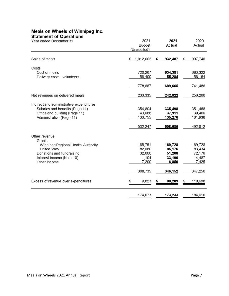## **Meals on Wheels of Winnipeg Inc.**<br>Statement of Operations

| Year ended December 31                                                                                                                                | 2021<br>Budget<br>(Unaudited)                            | 2021<br>Actual                                            | 2020<br>Actual                                            |
|-------------------------------------------------------------------------------------------------------------------------------------------------------|----------------------------------------------------------|-----------------------------------------------------------|-----------------------------------------------------------|
| Sales of meals                                                                                                                                        | \$1,012,002                                              | \$<br>932,487                                             | 997,746<br>\$                                             |
| Costs<br>Cost of meals<br>Delivery costs - volunteers                                                                                                 | 720,267<br>58,400                                        | 634,381<br>55,284                                         | 683,322<br>58,164                                         |
| Net revenues on delivered meals                                                                                                                       | 778,667<br>233,335                                       | 689,665<br>242,822                                        | 741,486<br>256,260                                        |
| Indirect and administrative expenditures<br>Salaries and benefits (Page 11)<br>Office and building (Page 11)<br>Administrative (Page 11)              | 354,804<br>43,688<br>133,755<br>532,247                  | 335,498<br>37,911<br>135,276<br>508,685                   | 351,468<br>39,406<br>101,938<br>492,812                   |
| Other revenue<br>Grants<br>Winnipeg Regional Health Authority<br>United Way<br>Donations and fundraising<br>Interest income (Note 10)<br>Other income | 185,751<br>82,680<br>32,000<br>1,104<br>7,200<br>308,735 | 169,728<br>85,176<br>51,208<br>33,190<br>6,850<br>346,152 | 169,728<br>83,434<br>72,176<br>14,487<br>7,425<br>347,250 |
| Excess of revenue over expenditures                                                                                                                   | 9,823<br>\$                                              | 80,289<br>\$                                              | 110,698<br>S                                              |
|                                                                                                                                                       | 174,073                                                  | 173,233                                                   | 184,610                                                   |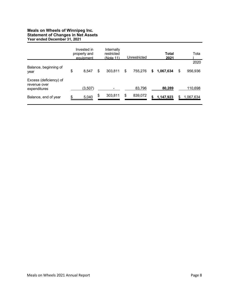#### **Meals on Wheels of Winnipeg Inc. Statement of Changes in Net Assets Year ended December 31, 2021**

|                                                        | Invested in<br>property and<br>equipment | Internally<br>restricted<br>(Note 11) | Unrestricted  |   | <b>Total</b><br>2021 | Tota                  |
|--------------------------------------------------------|------------------------------------------|---------------------------------------|---------------|---|----------------------|-----------------------|
| Balance, beginning of<br>year                          | \$<br>8,547                              | \$<br>303,811                         | \$<br>755,276 | S | 1,067,634            | \$<br>2020<br>956,936 |
| Excess (deficiency) of<br>revenue over<br>expenditures | (3,507)                                  |                                       | 83,796        |   | 80,289               | 110,698               |
| Balance, end of year                                   | 5,040                                    | \$<br>303,811                         | \$<br>839,072 |   | 1,147,923            | 1,067,634             |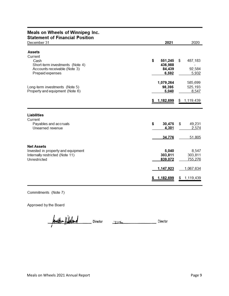| Meals on Wheels of Winnipeg Inc.<br><b>Statement of Financial Position</b> |                              |                             |
|----------------------------------------------------------------------------|------------------------------|-----------------------------|
| December 31                                                                | 2021                         | 2020                        |
| Assets<br>Current                                                          |                              |                             |
| Cash<br>Short-term investments (Note 4)                                    | \$<br>551,245<br>436,988     | \$<br>487,183               |
| Accounts receivable (Note 3)<br>Prepaid expenses                           | 84,439<br>6,592              | 92,584<br>5,932             |
| Long-term investments (Note 5)<br>Property and equipment (Note 6)          | 1,079,264<br>98,395<br>5,040 | 585,699<br>525,193<br>8,547 |
|                                                                            | 1,182,699                    | \$<br>1,119,439             |
| Liabilities                                                                |                              |                             |
| Current<br>Payables and accruals<br>Unearned revenue                       | \$<br>30,475<br>4,301        | \$<br>49,231<br>2,574       |
|                                                                            | 34,776                       | 51,805                      |
| <b>Net Assets</b><br>Invested in property and equipment                    | 5,040                        | 8,547                       |
| Internally restricted (Note 11)<br>Unrestricted                            | 303,811<br>839,072           | 303,811<br>755,276          |
|                                                                            | 1,147,923                    | 1,067,634                   |
|                                                                            | 1,182,699                    | \$<br>1,119,439             |

Commitments (Note 7)

Approved by the Board

prother filed to d Director The Director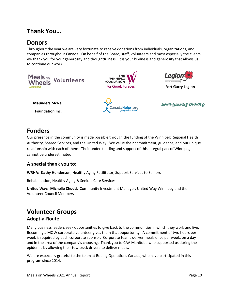## <span id="page-11-0"></span>**Thank You…**

#### <span id="page-11-1"></span>**Donors**

Throughout the year we are very fortunate to receive donations from individuals, organizations, and companies throughout Canada. On behalf of the Board, staff, volunteers and most especially the clients, we thank you for your generosity and thoughtfulness. It is your kindness and generosity that allows us to continue our work.







**Fort Garry Legion**

**Foundation Inc.**





## <span id="page-11-2"></span>**Funders**

Our presence in the community is made possible through the funding of the Winnipeg Regional Health Authority, Shared Services, and the United Way. We value their commitment, guidance, and our unique relationship with each of them. Their understanding and support of this integral part of Winnipeg cannot be underestimated.

#### **A special thank you to:**

**WRHA**: **Kathy Henderson**, Healthy Aging Facilitator, Support Services to Seniors

Rehabilitation, Healthy Aging & Seniors Care Services

**United Way: Michelle Chudd,** Community Investment Manager, United Way Winnipeg and the Volunteer Council Members

## <span id="page-11-3"></span>**Volunteer Groups**

#### **Adopt-a-Route**

Many business leaders seek opportunities to give back to the communities in which they work and live. Becoming a MOW corporate volunteer gives them that opportunity. A commitment of two hours per week is required by each corporate sponsor. Corporate teams deliver meals once per week, on a day and in the area of the company's choosing. Thank you to CAA Manitoba who supported us during the epidemic by allowing their tow truck drivers to deliver meals.

We are especially grateful to the team at Boeing Operations Canada, who have participated in this program since 2014.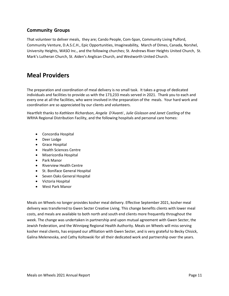#### **Community Groups**

That volunteer to deliver meals, they are; Cando People, Com-Span, Community Living Pulford, Community Venture, D.A.S.C.H., Epic Opportunities, Imagineability, March of Dimes, Canada, Norshel, University Heights, WASO Inc., and the following churches; St. Andrews River Heights United Church, St. Mark's Lutheran Church, St. Aiden's Anglican Church, and Westworth United Church.

## <span id="page-12-0"></span>**Meal Providers**

The preparation and coordination of meal delivery is no small task. It takes a group of dedicated individuals and facilities to provide us with the 173,233 meals served in 2021. Thank you to each and every one at all the facilities, who were involved in the preparation of the meals. Your hard work and coordination are so appreciated by our clients and volunteers.

Heartfelt thanks to *Kathleen Richardson*, *Angela D'Avanti , Julie Gislason and Janet Castling* of the WRHA Regional Distribution Facility, and the following hospitals and personal care homes:

- Concordia Hospital
- Deer Lodge
- Grace Hospital
- Health Sciences Centre
- Misericordia Hospital
- Park Manor
- Riverview Health Centre
- St. Boniface General Hospital
- Seven Oaks General Hospital
- Victoria Hospital
- West Park Manor

Meals on Wheels no longer provides kosher meal delivery. Effective September 2021, kosher meal delivery was transferred to Gwen Secter Creative Living. This change benefits clients with lower meal costs, and meals are available to both north and south end clients more frequently throughout the week. The change was undertaken in partnership and upon mutual agreement with Gwen Secter, the Jewish Federation, and the Winnipeg Regional Health Authority. Meals on Wheels will miss serving kosher meal clients, has enjoyed our affiliation with Gwen Secter, and is very grateful to Becky Chisick, Galina Melenevska, and Cathy Koltowski for all their dedicated work and partnership over the years.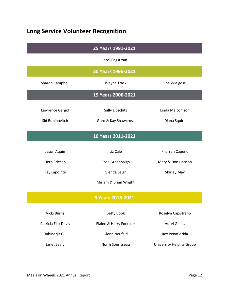## <span id="page-13-0"></span>**Long Service Volunteer Recognition**

|                     | 25 Years 1991-2021      |                                 |  |  |  |  |
|---------------------|-------------------------|---------------------------------|--|--|--|--|
|                     | Carol Engstrom          |                                 |  |  |  |  |
|                     | 20 Years 1996-2021      |                                 |  |  |  |  |
| Sharon Campbell     | Wayne Trask             | Joe Wielgosz                    |  |  |  |  |
|                     | 15 Years 2006-2021      |                                 |  |  |  |  |
| Lawrence Gargol     | Sally Lipschitz         | Linda Malcomson                 |  |  |  |  |
| Sid Robinovitch     | Gord & Kay Shawcross    | Diana Squire                    |  |  |  |  |
| 10 Years 2011-2021  |                         |                                 |  |  |  |  |
| Jason Aquin         | Liz Cale                | Kharren Capuno                  |  |  |  |  |
| <b>Herb Friesen</b> | Rose Greenhalgh         | Mary & Don Hanson               |  |  |  |  |
| Ray Lapointe        | Glenda Leigh            | <b>Shirley May</b>              |  |  |  |  |
|                     | Miriam & Brian Wright   |                                 |  |  |  |  |
| 5 Years 2016-2021   |                         |                                 |  |  |  |  |
| Vicki Burns         | <b>Betty Cook</b>       | Roselyn Capistrano              |  |  |  |  |
| Patricia Eko-Davis  | Elaine & Harry Foerster | <b>Aurel Ghilas</b>             |  |  |  |  |
| Rubinerjit Gill     | Glenn Neufeld           | Rex Penaflorida                 |  |  |  |  |
| Janet Sealy         | Norm Sourisseau         | <b>University Heights Group</b> |  |  |  |  |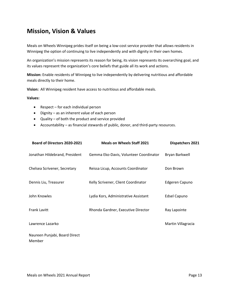## <span id="page-14-0"></span>**Mission, Vision & Values**

Meals on Wheels Winnipeg prides itself on being a low-cost service provider that allows residents in Winnipeg the option of continuing to live independently and with dignity in their own homes.

An organization's mission represents its reason for being, its vision represents its overarching goal, and its values represent the organization's core beliefs that guide all its work and actions.

**Mission:** Enable residents of Winnipeg to live independently by delivering nutritious and affordable meals directly to their home.

**Vision:** All Winnipeg resident have access to nutritious and affordable meals.

#### **Values:**

- Respect for each individual person
- Dignity as an inherent value of each person
- Quality of both the product and service provided
- Accountability as financial stewards of public, donor, and third-party resources.

| Board of Directors 2020-2021            | <b>Meals on Wheels Staff 2021</b>      | <b>Dispatchers 2021</b> |
|-----------------------------------------|----------------------------------------|-------------------------|
| Jonathan Hildebrand, President          | Gemma Eko-Davis, Volunteer Coordinator | Bryan Barkwell          |
| Chelsea Scrivener, Secretary            | Reissa Licup, Accounts Coordinator     | Don Brown               |
| Dennis Liu, Treasurer                   | Kelly Scrivener, Client Coordinator    | Edgeren Capuno          |
| John Knowles                            | Lydia Kors, Administrative Assistant   | <b>Edsel Capuno</b>     |
| <b>Frank Lavitt</b>                     | Rhonda Gardner, Executive Director     | Ray Lapointe            |
| Lawrence Lazarko                        |                                        | Martin Villagracia      |
| Naureen Punjabi, Board Direct<br>Member |                                        |                         |